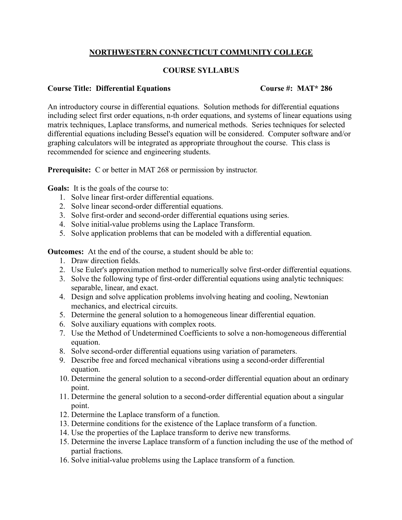## **NORTHWESTERN CONNECTICUT COMMUNITY COLLEGE**

## **COURSE SYLLABUS**

## **Course Title: Differential Equations Course #: MAT\* 286**

An introductory course in differential equations. Solution methods for differential equations including select first order equations, n-th order equations, and systems of linear equations using matrix techniques, Laplace transforms, and numerical methods. Series techniques for selected differential equations including Bessel's equation will be considered. Computer software and/or graphing calculators will be integrated as appropriate throughout the course. This class is recommended for science and engineering students.

**Prerequisite:** C or better in MAT 268 or permission by instructor.

**Goals:** It is the goals of the course to:

- 1. Solve linear first-order differential equations.
- 2. Solve linear second-order differential equations.
- 3. Solve first-order and second-order differential equations using series.
- 4. Solve initial-value problems using the Laplace Transform.
- 5. Solve application problems that can be modeled with a differential equation.

**Outcomes:** At the end of the course, a student should be able to:

- 1. Draw direction fields.
- 2. Use Euler's approximation method to numerically solve first-order differential equations.
- 3. Solve the following type of first-order differential equations using analytic techniques: separable, linear, and exact.
- 4. Design and solve application problems involving heating and cooling, Newtonian mechanics, and electrical circuits.
- 5. Determine the general solution to a homogeneous linear differential equation.
- 6. Solve auxiliary equations with complex roots.
- 7. Use the Method of Undetermined Coefficients to solve a non-homogeneous differential equation.
- 8. Solve second-order differential equations using variation of parameters.
- 9. Describe free and forced mechanical vibrations using a second-order differential equation.
- 10. Determine the general solution to a second-order differential equation about an ordinary point.
- 11. Determine the general solution to a second-order differential equation about a singular point.
- 12. Determine the Laplace transform of a function.
- 13. Determine conditions for the existence of the Laplace transform of a function.
- 14. Use the properties of the Laplace transform to derive new transforms.
- 15. Determine the inverse Laplace transform of a function including the use of the method of partial fractions.
- 16. Solve initial-value problems using the Laplace transform of a function.